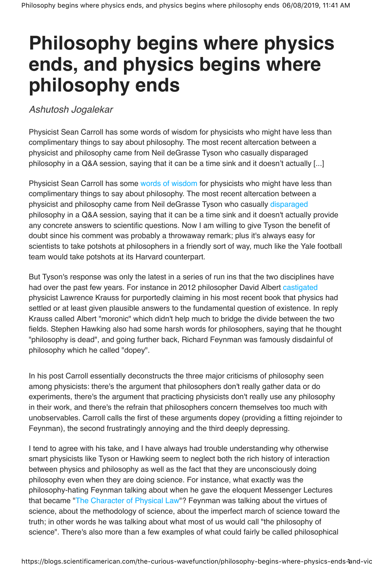## **Philosophy begins where physics ends, and physics begins where philosophy ends**

Ashutosh Jogalekar

Physicist Sean Carroll has some words of wisdom for physicists who might have less than complimentary things to say about philosophy. The most recent altercation between a physicist and philosophy came from Neil deGrasse Tyson who casually disparaged philosophy in a Q&A session, saying that it can be a time sink and it doesn't actually [...]

Physicist Sean Carroll has some words of wisdom for physicists who might have less than complimentary things to say about philosophy. The most recent altercation between a physicist and philosophy came from Neil deGrasse Tyson who casually disparaged philosophy in a Q&A session, saying that it can be a time sink and it doesn't actually provide any concrete answers to scientific questions. Now I am willing to give Tyson the benefit of doubt since his comment was probably a throwaway remark; plus it's always easy for scientists to take potshots at philosophers in a friendly sort of way, much like the Yale football team would take potshots at its Harvard counterpart.

But Tyson's response was only the latest in a series of run ins that the two disciplines have had over the past few years. For instance in 2012 philosopher David Albert castigated physicist Lawrence Krauss for purportedly claiming in his most recent book that physics had settled or at least given plausible answers to the fundamental question of existence. In reply Krauss called Albert "moronic" which didn't help much to bridge the divide between the two fields. Stephen Hawking also had some harsh words for philosophers, saying that he thought "philosophy is dead", and going further back, Richard Feynman was famously disdainful of philosophy which he called "dopey".

In his post Carroll essentially deconstructs the three major criticisms of philosophy seen among physicists: there's the argument that philosophers don't really gather data or do experiments, there's the argument that practicing physicists don't really use any philosophy in their work, and there's the refrain that philosophers concern themselves too much with unobservables. Carroll calls the first of these arguments dopey (providing a fitting rejoinder to Feynman), the second frustratingly annoying and the third deeply depressing.

I tend to agree with his take, and I have always had trouble understanding why otherwise smart physicists like Tyson or Hawking seem to neglect both the rich history of interaction between physics and philosophy as well as the fact that they are unconsciously doing philosophy even when they are doing science. For instance, what exactly was the philosophy-hating Feynman talking about when he gave the eloquent Messenger Lectures that became "The Character of Physical Law"? Feynman was talking about the virtues of science, about the methodology of science, about the imperfect march of science toward the truth; in other words he was talking about what most of us would call "the philosophy of science". There's also more than a few examples of what could fairly be called philosophical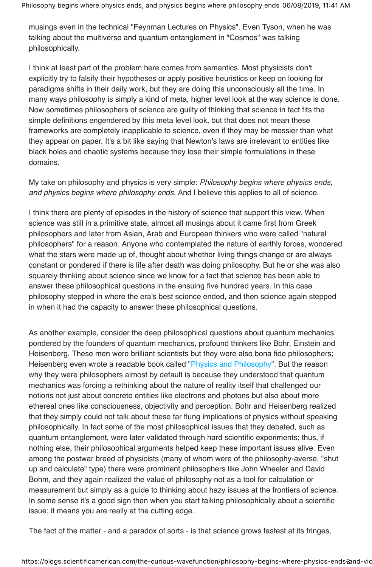musings even in the technical "Feynman Lectures on Physics". Even Tyson, when he was talking about the multiverse and quantum entanglement in "Cosmos" was talking philosophically.

I think at least part of the problem here comes from semantics. Most physicists don't explicitly try to falsify their hypotheses or apply positive heuristics or keep on looking for paradigms shifts in their daily work, but they are doing this unconsciously all the time. In many ways philosophy is simply a kind of meta, higher level look at the way science is done. Now sometimes philosophers of science are guilty of thinking that science in fact fits the simple definitions engendered by this meta level look, but that does not mean these frameworks are completely inapplicable to science, even if they may be messier than what they appear on paper. It's a bit like saying that Newton's laws are irrelevant to entities like black holes and chaotic systems because they lose their simple formulations in these domains.

My take on philosophy and physics is very simple: Philosophy begins where physics ends, and physics begins where philosophy ends. And I believe this applies to all of science.

I think there are plenty of episodes in the history of science that support this view. When science was still in a primitive state, almost all musings about it came first from Greek philosophers and later from Asian, Arab and European thinkers who were called "natural philosophers" for a reason. Anyone who contemplated the nature of earthly forces, wondered what the stars were made up of, thought about whether living things change or are always constant or pondered if there is life after death was doing philosophy. But he or she was also squarely thinking about science since we know for a fact that science has been able to answer these philosophical questions in the ensuing five hundred years. In this case philosophy stepped in where the era's best science ended, and then science again stepped in when it had the capacity to answer these philosophical questions.

As another example, consider the deep philosophical questions about quantum mechanics pondered by the founders of quantum mechanics, profound thinkers like Bohr, Einstein and Heisenberg. These men were brilliant scientists but they were also bona fide philosophers; Heisenberg even wrote a readable book called "Physics and Philosophy". But the reason why they were philosophers almost by default is because they understood that quantum mechanics was forcing a rethinking about the nature of reality itself that challenged our notions not just about concrete entities like electrons and photons but also about more ethereal ones like consciousness, objectivity and perception. Bohr and Heisenberg realized that they simply could not talk about these far flung implications of physics without speaking philosophically. In fact some of the most philosophical issues that they debated, such as quantum entanglement, were later validated through hard scientific experiments; thus, if nothing else, their philosophical arguments helped keep these important issues alive. Even among the postwar breed of physicists (many of whom were of the philosophy-averse, "shut up and calculate" type) there were prominent philosophers like John Wheeler and David Bohm, and they again realized the value of philosophy not as a tool for calculation or measurement but simply as a guide to thinking about hazy issues at the frontiers of science. In some sense it's a good sign then when you start talking philosophically about a scientific issue; it means you are really at the cutting edge.

The fact of the matter - and a paradox of sorts - is that science grows fastest at its fringes,